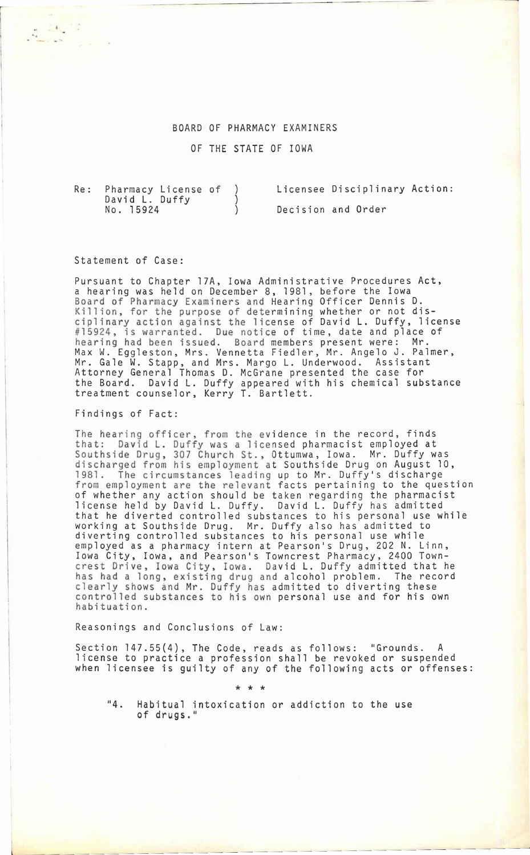## BOARD OF PHARMACY EXAMINERS

## OF THE STATE OF IOWA

| Re: Pharmacy License of |  | Licensee Disciplinary Action: |  |
|-------------------------|--|-------------------------------|--|
| David L. Duffy          |  |                               |  |
| No. 15924               |  | Decision and Order            |  |

## Statement of Case:

 $\frac{1}{\sqrt{2}}\left\| \frac{d^2\mathbf{r}}{d\mathbf{r}} \right\|_{\infty}$ 

Pursuant to Chapter 17A, Iowa Administrative Procedures Act, a hearing was held on December 8, 1981, before the Iowa Board of Pharmacy Examiners and Hearing Officer Dennis D. Killion, for the purpose of determining whether or not disciplinary action against the license of David L. Duffy, license #15924, is warranted. Due notice of time, date and place of hearing had been issued. Board members present were: Mr. Max W. Eggleston, Mrs. Vennetta Fiedler, Mr. Angelo J. Palmer, Mr. Gale W. Stapp, and Mrs. Margo L. Underwood. Assistant Attorney General Thomas D. McGrane presented the case for the Board. David L. Duffy appeared with his chemical substance treatment counselor, Kerry T. Bartlett.

Findings of Fact:

The hearing officer, from the evidence in the record, finds that: David L. Duffy was a licensed pharmacist employed at southside Drug, 307 Church St., Ottumwa, Iowa. Mr. Duffy was discharged from his employment at Southside Drug on August 10, 1981. The circumstances leading up to Mr. Duffy's discharge from employment are the relevant facts pertaining to the question of whether any action should be taken regarding the pharmacist license held by David L. Duffy. David L. Duffy has admitted that he diverted controlled substances to his personal use while working at Southside Drug. Mr. Duffy also has admitted to diverting controlled substances to his personal use while employed as a pharmacy intern at Pearson's Drug, 202 N. Linn, Iowa City, Iowa, and Pearson's Towncrest Pharmacy, 2400 Towncrest Drive, Iowa City, Iowa. David L. Duffy admitted that he has had a long, existing drug and alcohol problem. The record clearly shows and Mr. Duffy has admitted to diverting these controlled substances to his own personal use and for his own habituation .

Reasonings and Conclusions of Law:

Section 147.55(4), The Code, reads as follows: "Grounds. A license to practice a profession shall be revoked or suspended when licensee is guilty of any of the following acts or offenses:

 $* * * *$ <br>"4. Habitual intoxication or addiction to the use of drugs."

---------------------------------